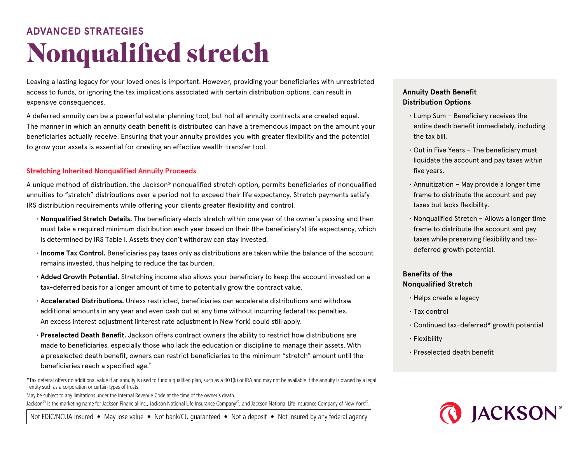# **Nonqualified stretch ADVANCED STRATEGIES**

Leaving a lasting legacy for your loved ones is important. However, providing your beneficiaries with unrestricted access to funds, or ignoring the tax implications associated with certain distribution options, can result in expensive consequences.

A deferred annuity can be a powerful estate-planning tool, but not all annuity contracts are created equal. The manner in which an annuity death benefit is distributed can have a tremendous impact on the amount your beneficiaries actually receive. Ensuring that your annuity provides you with greater flexibility and the potential to grow your assets is essential for creating an effective wealth-transfer tool.

### **Stretching Inherited Nonqualified Annuity Proceeds**

A unique method of distribution, the Jackson® nonqualified stretch option, permits beneficiaries of nonqualified annuities to "stretch" distributions over a period not to exceed their life expectancy. Stretch payments satisfy IRS distribution requirements while offering your clients greater flexibility and control.

- **Nonqualified Stretch Details.** The beneficiary elects stretch within one year of the owner's passing and then must take a required minimum distribution each year based on their (the beneficiary's) life expectancy, which is determined by IRS Table I. Assets they don't withdraw can stay invested.
- **Income Tax Control.** Beneficiaries pay taxes only as distributions are taken while the balance of the account remains invested, thus helping to reduce the tax burden.
- **Added Growth Potential.** Stretching income also allows your beneficiary to keep the account invested on a tax-deferred basis for a longer amount of time to potentially grow the contract value.
- **Accelerated Distributions.** Unless restricted, beneficiaries can accelerate distributions and withdraw additional amounts in any year and even cash out at any time without incurring federal tax penalties. An excess interest adjustment (interest rate adjustment in New York) could still apply.
- **Preselected Death Benefit.** Jackson offers contract owners the ability to restrict how distributions are made to beneficiaries, especially those who lack the education or discipline to manage their assets. With a preselected death benefit, owners can restrict beneficiaries to the minimum "stretch" amount until the beneficiaries reach a specified age. $^\dagger$

\*Tax deferral offers no additional value if an annuity is used to fund a qualified plan, such as a 401(k) or IRA and may not be available if the annuity is owned by a legal entity such as a corporation or certain types of trusts.

May be subject to any limitations under the Internal Revenue Code at the time of the owner's death. Jackson® is the marketing name for Jackson Financial Inc., Jackson National Life Insurance Company®, and Jackson National Life Insurance Company of New York®.

Not FDIC/NCUA insured • May lose value • Not bank/CU quaranteed • Not a deposit • Not insured by any federal agency

# **Annuity Death Benefit Distribution Options**

- Lump Sum Beneficiary receives the entire death benefit immediately, including the tax bill.
- Out in Five Years The beneficiary must liquidate the account and pay taxes within five years.
- Annuitization May provide a longer time frame to distribute the account and pay taxes but lacks flexibility.
- Nonqualified Stretch Allows a longer time frame to distribute the account and pay taxes while preserving flexibility and taxdeferred growth potential.

## **Benefits of the Nonqualified Stretch**

- Helps create a legacy
- Tax control
- Continued tax-deferred\* growth potential
- Flexibility
- Preselected death benefit